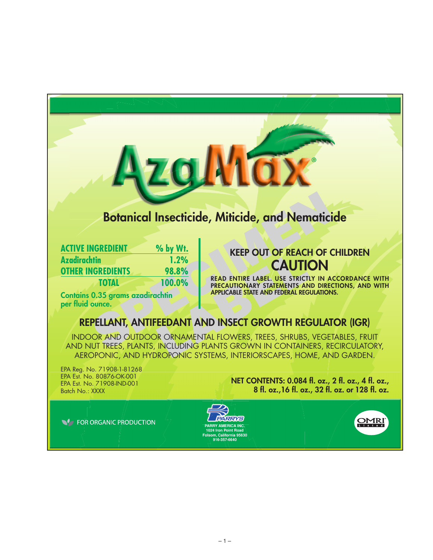# **Botanical Insecticide, Miticide, and Nematicide**

**Wax** 

|                                                                                                                                                                                            | <b>Botanical Insecticide, Miticide, and Nematici</b>                                                                                                                            |
|--------------------------------------------------------------------------------------------------------------------------------------------------------------------------------------------|---------------------------------------------------------------------------------------------------------------------------------------------------------------------------------|
| % by Wt.<br><b>ACTIVE INGREDIENT</b><br><b>Azadirachtin</b><br>1.2%<br><b>OTHER INGREDIENTS</b><br>98.8%<br>100.0%<br><b>TOTAL</b><br>Contains 0.35 grams azadirachtin<br>per fluid ounce. | <b>KEEP OUT OF REACH OF C</b><br><b>CAUTION</b><br>READ ENTIRE LABEL. USE STRICTLY IN A<br>PRECAUTIONARY STATEMENTS AND DIREC<br><b>APPLICABLE STATE AND FEDERAL REGULATION</b> |
|                                                                                                                                                                                            | REPELLANT, ANTIFEEDANT AND INSECT GROWTH REGULAT                                                                                                                                |
| AND NUT TREES, PLANTS, INCLUDING PLANTS GROWN IN CONTAINERS, RE                                                                                                                            | <b>INDOOR AND OUTDOOR ORNAMENTAL FLOWERS, TREES, SHRUBS, VEGET</b>                                                                                                              |

# **KEEP OUT OF REACH OF CHILDREN CAUTION**

**READ ENTIRE LABEL. USE STRICTLY IN ACCORDANCE WITH PRECAUTIONARY STATEMENTS AND DIRECTIONS, AND WITH APPLICABLE STATE AND FEDERAL REGULATIONS.**

# **REPELLANT, ANTIFEEDANT AND INSECT GROWTH REGULATOR (IGR)**

**1.2%<br>
8.8%<br>
100.0%<br>
READ ENTIRE LABEL, USE STRICTLY PRECAUTIONARY STATEMENTS AND APPLICABLE STATE AND FEDERAL REGISTED AND LOCAL REGISTATE AND DEDERAL REGISTATE AND FEDERAL REGISTATE AND FEDERAL REGISTATE AND FEDERAL REGI** INDOOR AND OUTDOOR ORNAMENTAL FLOWERS, TREES, SHRUBS, VEGETABLES, FRUIT AND NUT TREES, PLANTS, INCLUDING PLANTS GROWN IN CONTAINERS, RECIRCULATORY, AEROPONIC, AND HYDROPONIC SYSTEMS, INTERIORSCAPES, HOME, AND GARDEN.

EPA Reg. No. 71908-1-81268 EPA Est. No. 80876-OK-001 EPA Est. No. 71908-IND-001 Batch No.: XXXX

**NET CONTENTS: 0.084 fl. oz., 2 fl. oz., 4 fl. oz., 8 fl. oz.,16 fl. oz., 32 fl. oz. or 128 fl. oz.**

**NO FOR ORGANIC PRODUCTION** 



**OMRI**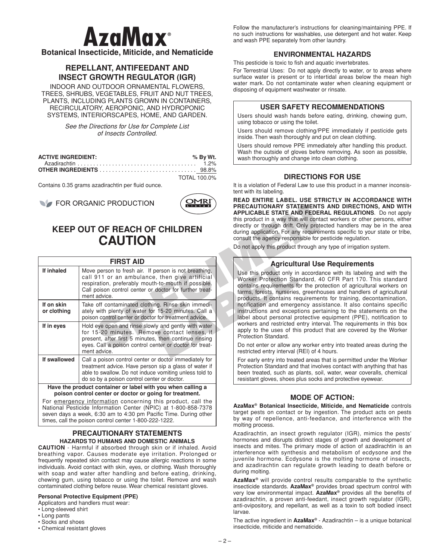# **AzaMax**®

**Botanical Insecticide, Miticide, and Nematicide**

## **REPELLANT, ANTIFEEDANT AND INSECT GROWTH REGULATOR (IGR)**

INDOOR AND OUTDOOR ORNAMENTAL FLOWERS, TREES, SHRUBS, VEGETABLES, FRUIT AND NUT TREES, PLANTS, INCLUDING PLANTS GROWN IN CONTAINERS, RECIRCULATORY, AEROPONIC, AND HYDROPONIC SYSTEMS, INTERIORSCAPES, HOME, AND GARDEN.

> *See the Directions for Use for Complete List of Insects Controlled.*

| <b>ACTIVE INGREDIENT:</b> | % By Wt.     |
|---------------------------|--------------|
|                           |              |
|                           |              |
|                           | TOTAL 100.0% |

Contains 0.35 grams azadirachtin per fluid ounce.



## **KEEP OUT OF REACH OF CHILDREN CAUTION**

|                           | <b>WE TUR URGAING FRODUCTION</b><br>Listed<br><b>KEEP OUT OF REACH OF CHILDREN</b><br><b>CAUTION</b>                                                                                                                                      | <b>PRECAUTIONARY STATEMENT</b><br><b>APPLICABLE STATE AND FEDE</b><br>this product in a way that will cont<br>directly or through drift. Only prot<br>during application. For any require<br>consult the agency responsible for<br>Do not apply this product through a |
|---------------------------|-------------------------------------------------------------------------------------------------------------------------------------------------------------------------------------------------------------------------------------------|------------------------------------------------------------------------------------------------------------------------------------------------------------------------------------------------------------------------------------------------------------------------|
|                           | <b>FIRST AID</b>                                                                                                                                                                                                                          | <b>Agricultural Us</b>                                                                                                                                                                                                                                                 |
| If inhaled                | Move person to fresh air. If person is not breathing,<br>call 911 or an ambulance, then give artificial<br>respiration, preferably mouth-to-mouth if possible.<br>Call poison control center or doctor for further treat-<br>ment advice. | Use this product only in accorda<br>Worker Protection Standard, 4<br>contains requirements for the pro<br>farms, forests, nurseries, greenh<br>products. It contains requiremer                                                                                        |
| If on skin<br>or clothing | Take off contaminated clothing. Rinse skin immedi-<br>ately with plenty of water for 15-20 minutes. Call a<br>poison control center or doctor for treatment advice.                                                                       | notification and emergency ass<br>instructions and exceptions per<br>label about personal protective                                                                                                                                                                   |
| If in eyes                | Hold eye open and rinse slowly and gently with water<br>for 15-20 minutes. Remove contact lenses, if<br>present, after first 5 minutes, then continue rinsing<br>eyes. Call a poison control center or doctor for treat-<br>ment advice.  | workers and restricted entry inte<br>apply to the uses of this produc<br>Protection Standard.<br>Do not enter or allow any worker                                                                                                                                      |
| If swallowed              | Call a poison control center or doctor immediately for                                                                                                                                                                                    | restricted entry interval (REI) of 4<br>For early entry into treated areas                                                                                                                                                                                             |
|                           | treatment advice. Have person sip a glass of water if<br>able to swallow. Do not induce vomiting unless told to<br>do so by a poison control center or doctor.                                                                            | Protection Standard and that invo<br>been treated, such as plants, so<br>resistant gloves, shoes plus socks                                                                                                                                                            |
|                           | والمستللوه والمصابين يتميز والإثبين المواجل برمانه بممساحه والمتبادعة وبروز ووالارمينية المناف                                                                                                                                            |                                                                                                                                                                                                                                                                        |

**Have the product container or label with you when calling a poison control center or doctor or going for treatment.**

For emergency information concerning this product, call the National Pesticide Information Center (NPIC) at 1-800-858-7378 seven days a week, 6:30 am to 4:30 pm Pacific Time. During other times, call the poison control center 1-800-222-1222.

## **PRECAUTIONARY STATEMENTS HAZARDS TO HUMANS AND DOMESTIC ANIMALS**

**CAUTION** - Harmful if absorbed through skin or if inhaled. Avoid breathing vapor. Causes moderate eye irritation. Prolonged or frequently repeated skin contact may cause allergic reactions in some individuals. Avoid contact with skin, eyes, or clothing. Wash thoroughly with soap and water after handling and before eating, drinking, chewing gum, using tobacco or using the toilet. Remove and wash contaminated clothing before reuse. Wear chemical resistant gloves.

### **Personal Protective Equipment (PPE)**

Applicators and handlers must wear:

- Long-sleeved shirt
- Long pants
- Socks and shoes
- Chemical resistant gloves

Follow the manufacturer's instructions for cleaning/maintaining PPE. If no such instructions for washables, use detergent and hot water. Keep and wash PPE separately from other laundry.

## **ENVIRONMENTAL HAZARDS**

This pesticide is toxic to fish and aquatic invertebrates.

For Terrestrial Uses: Do not apply directly to water, or to areas where surface water is present or to intertidal areas below the mean high water mark. Do not contaminate water when cleaning equipment or disposing of equipment washwater or rinsate.

## **USER SAFETY RECOMMENDATIONS**

Users should wash hands before eating, drinking, chewing gum, using tobacco or using the toilet.

Users should remove clothing/PPE immediately if pesticide gets inside. Then wash thoroughly and put on clean clothing.

Users should remove PPE immediately after handling this product. Wash the outside of gloves before removing. As soon as possible, wash thoroughly and change into clean clothing.

### **DIRECTIONS FOR USE**

It is a violation of Federal Law to use this product in a manner inconsistent with its labeling.

**READ ENTIRE LABEL. USE STRICTLY IN ACCORDANCE WITH PRECAUTIONARY STATEMENTS AND DIRECTIONS, AND WITH APPLICABLE STATE AND FEDERAL REGULATIONS**. Do not apply this product in a way that will contact workers or other persons, either directly or through drift. Only protected handlers may be in the area during application. For any requirements specific to your state or tribe, consult the agency responsible for pesticide regulation.

Do not apply this product through any type of irrigation system.

### **Agricultural Use Requirements**

Use this product only in accordance with its labeling and with the Worker Protection Standard, 40 CFR Part 170. This standard contains requirements for the protection of agricultural workers on farms, forests, nurseries, greenhouses and handlers of agricultural products. It contains requirements for training, decontamination, notification and emergency assistance. It also contains specific instructions and exceptions pertaining to the statements on the label about personal protective equipment (PPE), notification to workers and restricted entry interval. The requirements in this box apply to the uses of this product that are covered by the Worker Protection Standard.

Do not enter or allow any worker entry into treated areas during the restricted entry interval (REI) of 4 hours.

For early entry into treated areas that is permitted under the Worker Protection Standard and that involves contact with anything that has been treated, such as plants, soil, water, wear coveralls, chemical resistant gloves, shoes plus socks and protective eyewear.

## **MODE OF ACTION:**

**AzaMax® Botanical Insecticide, Miticide, and Nematicide** controls target pests on contact or by ingestion. The product acts on pests by way of repellence, anti-feedance, and interference with the molting process.

Azadirachtin, an insect growth regulator (IGR), mimics the pests' hormones and disrupts distinct stages of growth and development of insects and mites. The primary mode of action of azadirachtin is an interference with synthesis and metabolism of ecdysone and the juvenile hormone. Ecdysone is the molting hormone of insects, and azadirachtin can regulate growth leading to death before or during molting.

**AzaMax®** will provide control results comparable to the synthetic insecticide standards. **AzaMax®** provides broad spectrum control with very low environmental impact. **AzaMax®** provides all the benefits of azadirachtin, a proven anti-feedant, insect growth regulator (IGR), anti-ovipository, and repellant, as well as a toxin to soft bodied insect larvae.

The active ingredient in **AzaMax®** - Azadirachtin – is a unique botanical insecticide, miticide and nematicide.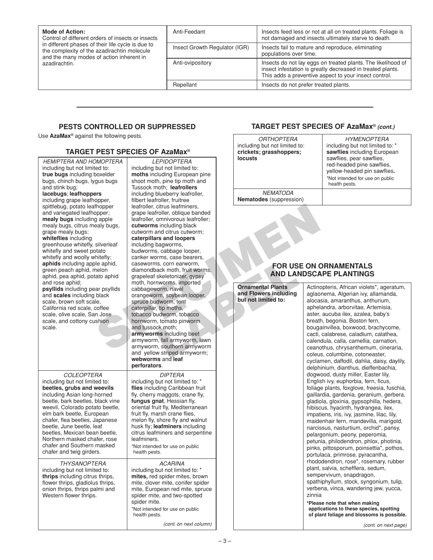| <b>Mode of Action:</b><br>Control of different orders of insects or insects<br>in different phases of their life cycle is due to<br>the complexity of the azadirachtin molecule<br>and the many modes of action inherent in<br>azadirachtin. | Anti-Feedant                  | Insects feed less or not at all on treated plants. Foliage is<br>not damaged and insects ultimately starve to death.                                                                |
|----------------------------------------------------------------------------------------------------------------------------------------------------------------------------------------------------------------------------------------------|-------------------------------|-------------------------------------------------------------------------------------------------------------------------------------------------------------------------------------|
|                                                                                                                                                                                                                                              | Insect Growth Regulator (IGR) | Insects fail to mature and reproduce, eliminating<br>populations over time.                                                                                                         |
|                                                                                                                                                                                                                                              | Anti-ovipository              | Insects do not lay eggs on treated plants. The likelihood of<br>insect infestation is greatly decreased in treated plants.<br>This adds a preventive aspect to your insect control. |
|                                                                                                                                                                                                                                              | Repellant                     | Insects do not prefer treated plants.                                                                                                                                               |

## **PESTS CONTROLLED OR SUPPRESSED**

Use **AzaMax®** against the following pests.

## **TARGET PEST SPECIES OF AzaMax®**

*HEMIPTERA AND HOMOPTERA* including but not limited to: **true bugs** including boxelder bugs, chinch bugs, lygus bugs and stink bug; **lacebugs**; **leafhoppers** including grape leafhopper, spittlebug, potato leafhopper and variegated leafhopper; **mealy bugs** including apple mealy bugs, citrus mealy bugs, grape mealy bugs; **whiteflies** including greenhouse whitefly, silverleaf whitefly and sweet potato whitefly and woolly whitefly; **aphids** including apple aphid, green peach aphid, melon aphid, pea aphid, potato aphid and rose aphid; **psyllids** including pear psyllids and **scales** including black scale, brown soft scale, California red scale, coffee scale, olive scale, San Jose scale, and cottony cushion scale. *COLEOPTERA* including but not limited to: **beetles, grubs and weevils** including Asian long-horned beetle, bark beetles, black vine weevil, Colorado potato beetle, elm bark beetle, European chafer, flea beetles, Japanese beetle, June beetle, leaf beetles, Mexican bean beetle, Northern masked chafer, rose

chafer and Southern masked chafer and twig girders. *THYSANOPTERA* including but not limited to: **thrips** including citrus thrips, flower thrips, gladiolus thrips, onion thrips, thrips palmi and

Western flower thrips.

morper;<br>
graphe learfoller, circus learfoller, commissioned and the learfoller, commissioned and loopers<br>
and loopers including black<br>
cutworms and diamond circus currents;<br>
silverlear<br>
sixterial caseworms, case bearers,<br> FOR US<br>
In S, corn earworm,<br>
ack moth, fruit worms,<br>
skeletonizer, gypsy<br>
nworms, imported<br>
Jorn means including<br>
the property of the property of the property of the property<br>
that and Flowers including<br>
udworm, to the lim *LEPIDOPTERA* including but not limited to: **moths** including European pine shoot moth, pine tip moth and Tussock moth; **leafrollers** including blueberry leafroller, filbert leafroller, fruitree leafroller, citrus leafminers, grape leafroller, oblique banded leafroller, omnivorous leafroller; **cutworms** including black cutworm and citrus cutworm; **caterpillars and loopers** including bagworms, budworms, cabbage looper, canker worms, case bearers, caseworms, corn earworm, diamondback moth, fruit worms, grapeleaf skeletonizer, gypsy moth, hornworms, imported cabbageworm, navel orangeworm, soybean looper, spruce budworm, tent caterpillar, tip moths, tobacco budworm, tobacco hornworm, tomato pinworm and tussock moth; **armyworms** including beet armyworm, fall armyworm, lawn armyworm, southern armyworm and yellow striped armyworm; **webworms** and **leaf perforators**.

### *DIPTERA*

including but not limited to: \* **flies** including Caribbean fruit fly, cherry maggots, crane fly, **fungus gnat**, Hessian fly, oriental fruit fly, Mediterranean fruit fly, marsh crane flies, melon fly, shore fly and walnut husk fly; **leafminers** including citrus leafminers and serpentine leafminers.

\*Not intended for use on public health pests.

*ACARINA* including but not limited to: \* **mites,** red spider mites, brown mite, clover mite, conifer spider mite, European red mite, spruce spider mite, and two-spotted spider mite. \*Not intended for use on public health pests.

*(cont. on next column)*

## **TARGET PEST SPECIES OF AzaMax®** *(cont.)*

| <i><b>ORTHOPTERA</b></i><br>including but not limited to:<br>crickets; grasshoppers;<br><b>locusts</b> | <b>HYMENOPTERA</b><br>including but not limited to: *<br>sawflies including European<br>sawflies, pear sawflies,<br>red-headed pine sawflies,<br>yellow-headed pin sawflies.<br>*Not intended for use on public<br>health pests. |
|--------------------------------------------------------------------------------------------------------|----------------------------------------------------------------------------------------------------------------------------------------------------------------------------------------------------------------------------------|
| <b>NEMATODA</b><br><b>Nematodes</b> (suppression)                                                      |                                                                                                                                                                                                                                  |

## **FOR USE ON ORNAMENTALS AND LANDSCAPE PLANTINGS**

| <b>Ornamental Plants</b><br>and Flowers including<br>but not limited to: | Actinopteris, African violets*, ageratum,<br>aglaonema, Algerian ivy, allamanda,<br>alocasia, amaranthus, anthurium,<br>aphelandra, arborvitae, Artemisia,<br>aster, aucuba ilex, azalea, baby's<br>breath, begonia, Boston fern,<br>bougainvillea, boxwood, brachycome,<br>cacti, calabrese, caladium, calathea,<br>calendula, calla, camellia, carnation,<br>ceanothus, chrysanthemum, cineraria,<br>coleus, columbine, cotoneaster,<br>cyclamen, daffodil, dahlia, daisy, daylily,<br>delphinium, dianthus, dieffenbachia,<br>dogwood, dusty miller, Easter lily,<br>English ivy, euphorbia, fern, ficus,<br>foliage plants, foxglove, freesia, fuschia,<br>gaillardia, gardenia, geranium, gerbera,<br>gladiola, gloxinia, gypsophilla, hedera,<br>hibiscus, hyacinth, hydrangea, ilex,<br>impatiens, iris, ivy, jasmine, lilac, lily,<br>maidenhair fern, mandevilla, marigold,<br>narcissus, nasturtium, orchid*, pansy,<br>pelargonium, peony, peperomia,<br>petunia, philodendron, phlox, photinia,<br>pinks, pittosporum, poinsettia*, pothos,<br>portulaca, primrose, pyracantha,<br>rhododendron, rose*, rosemary, rubber<br>plant, salvia, schefflera, sedum,<br>sempervivum, snapdragon,<br>spathiphyllum, stock, syngonium, tulip,<br>verbena, vinca, wandering jew, yucca,<br>zinnia |
|--------------------------------------------------------------------------|-----------------------------------------------------------------------------------------------------------------------------------------------------------------------------------------------------------------------------------------------------------------------------------------------------------------------------------------------------------------------------------------------------------------------------------------------------------------------------------------------------------------------------------------------------------------------------------------------------------------------------------------------------------------------------------------------------------------------------------------------------------------------------------------------------------------------------------------------------------------------------------------------------------------------------------------------------------------------------------------------------------------------------------------------------------------------------------------------------------------------------------------------------------------------------------------------------------------------------------------------------------------------------------------------------|
|                                                                          | *Please note that when making<br>applications to these species, spotting<br>of plant foliage and blossoms is possible.                                                                                                                                                                                                                                                                                                                                                                                                                                                                                                                                                                                                                                                                                                                                                                                                                                                                                                                                                                                                                                                                                                                                                                              |
|                                                                          | (cont. on next page)                                                                                                                                                                                                                                                                                                                                                                                                                                                                                                                                                                                                                                                                                                                                                                                                                                                                                                                                                                                                                                                                                                                                                                                                                                                                                |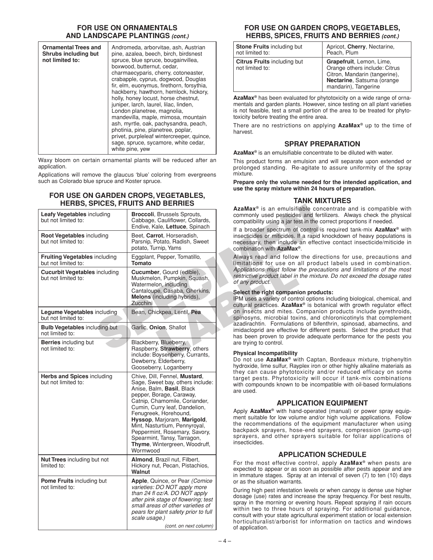## **FOR USE ON ORNAMENTALS AND LANDSCAPE PLANTINGS** *(cont.)*

| <b>Ornamental Trees and</b><br>Shrubs including but<br>not limited to: | Andromeda, arborvitae, ash, Austrian<br>pine, azalea, beech, birch, birdsnest<br>spruce, blue spruce, bougainvillea,<br>boxwood, butternut, cedar,<br>charmaecyparis, cherry, cotoneaster,<br>crabapple, cyprus, dogwood, Douglas<br>fir, elm, euonymus, firethorn, forsythia,<br>hackberry, hawthorn, hemlock, hickory,<br>holly, honey locust, horse chestnut,<br>juniper, larch, laurel, lilac, linden,<br>London planetree, magnolia,<br>mandevilla, maple, mimosa, mountain<br>ash, myrtle, oak, pachysandra, peach,<br>photinia, pine, planetree, poplar,<br>privet, purpleleaf wintercreeper, quince, |
|------------------------------------------------------------------------|--------------------------------------------------------------------------------------------------------------------------------------------------------------------------------------------------------------------------------------------------------------------------------------------------------------------------------------------------------------------------------------------------------------------------------------------------------------------------------------------------------------------------------------------------------------------------------------------------------------|
|                                                                        | sage, spruce, sycamore, white cedar,<br>white pine, yew                                                                                                                                                                                                                                                                                                                                                                                                                                                                                                                                                      |

Waxy bloom on certain ornamental plants will be reduced after an application.

Applications will remove the glaucus 'blue' coloring from evergreens such as Colorado blue spruce and Koster spruce.

### **FOR USE ON GARDEN CROPS,VEGETABLES, HERBS, SPICES, FRUITS AND BERRIES**

|                                                             | NENDƏ, ƏPICEƏ, FRUH Ə AND BERRIEƏ                                                                                                                                                                                              | AzaMax <sup>®</sup> is an emulsifiable cor                                                                                                                                                                                                          |
|-------------------------------------------------------------|--------------------------------------------------------------------------------------------------------------------------------------------------------------------------------------------------------------------------------|-----------------------------------------------------------------------------------------------------------------------------------------------------------------------------------------------------------------------------------------------------|
| <b>Leafy Vegetables including</b><br>but not limited to:    | <b>Broccoli</b> , Brussels Sprouts,<br>Cabbage, Cauliflower, Collards,<br>Endive, Kale, Lettuce, Spinach                                                                                                                       | commonly used pesticides and fer<br>compatibility using a jar test in the<br>If a broader spectrum of control                                                                                                                                       |
| <b>Root Vegetables including</b><br>but not limited to:     | Beet, Carrot, Horseradish,<br>Parsnip, Potato, Radish, Sweet<br>potato, Turnip, Yams                                                                                                                                           | insecticides or miticides. If a rapid<br>necessary, then include an effec<br>combination with <b>AzaMax</b> <sup>®</sup> .                                                                                                                          |
| <b>Fruiting Vegetables including</b><br>but not limited to: | Eggplant, Pepper, Tomatillo,<br>Tomato                                                                                                                                                                                         | Always read and follow the dire<br>limitations for use on all prode                                                                                                                                                                                 |
| <b>Cucurbit Vegetables including</b><br>but not limited to: | Cucumber, Gourd (edible),<br>Muskmelon, Pumpkin, Squash,<br>Watermelon, including                                                                                                                                              | Applications must follow the prec.<br>restrictive product label in the mixt<br>of any product.                                                                                                                                                      |
|                                                             | Cantaloupe, Casaba, Gherkins,<br>Melons (including hybrids),<br>Zucchini                                                                                                                                                       | Select the right companion prode<br>IPM uses a variety of control option<br>cultural practices. $AzaMax^{\circ}$ is bo                                                                                                                              |
| <b>Legume Vegetables</b> including<br>but not limited to:   | Bean, Chickpea, Lentil, Pea                                                                                                                                                                                                    | on insects and mites. Compani<br>spinosyns, microbial toxins, and                                                                                                                                                                                   |
| <b>Bulb Vegetables including but</b><br>not limited to:     | Garlic, Onion, Shallot                                                                                                                                                                                                         | azadirachtin. Formulations of bife<br>imidacloprid are effective for differ<br>has been proven to provide adequ                                                                                                                                     |
| <b>Berries</b> including but<br>not limited to:             | Blackberry, Blueberry,<br>Raspberry, Strawberry, others<br>include: Boysenberry, Currants,<br>Dewberry, Elderberry,<br>Gooseberry, Loganberry                                                                                  | are trying to control.<br><b>Physical Incompatibility</b><br>Do not use AzaMax <sup>®</sup> with Capta<br>hydroxide, lime sulfur, Rayplex iron                                                                                                      |
| Herbs and Spices including<br>but not limited to:           | Chive, Dill, Fennel, Mustard,<br>Sage, Sweet bay, others include:<br>Anise, Balm, Basil, Black<br>pepper, Borage, Caraway,                                                                                                     | they can cause phytotoxicity a<br>target pests. Phytotoxicity will<br>with compounds known to be inco<br>are used.                                                                                                                                  |
|                                                             | Catnip, Chamomile, Coriander,                                                                                                                                                                                                  | <b>APPLICATIOI</b>                                                                                                                                                                                                                                  |
|                                                             | Cumin, Curry leaf, Dandelion,<br>Fenugreek, Horehound,<br>Hyssop, Marjoram, Marigold,<br>Mint, Nasturtium, Pennyroyal,<br>Peppermint, Rosemary, Savory,<br>Spearmint, Tansy, Tarragon,<br><b>Thyme, Wintergreen, Woodruff,</b> | Apply AzaMax <sup>®</sup> with hand-operate<br>ment suitable for low volume and/<br>the recommendations of the equ<br>backpack sprayers, hose-end s<br>sprayers, and other sprayers s<br>insecticides.                                              |
|                                                             | Wormwood                                                                                                                                                                                                                       | <b>APPLICATIO</b>                                                                                                                                                                                                                                   |
| <b>Nut Trees</b> including but not<br>limited to:           | Almond, Brazil nut, Filbert,<br>Hickory nut, Pecan, Pistachios,<br>Walnut                                                                                                                                                      | For the most effective control,<br>expected to appear or as soon as<br>in immature stages. Spray at an in                                                                                                                                           |
| Pome Fruits including but                                   | Apple, Quince, or Pear (Comice                                                                                                                                                                                                 | or as the situation warrants.                                                                                                                                                                                                                       |
| not limited to:                                             | varieties: DO NOT apply more<br>than 24 fl oz/A. DO NOT apply<br>after pink stage of flowering; test<br>small areas of other varieties of<br>pears for plant safety prior to full<br>scale usage.)<br>(cont. on next column)   | During high pest infestation levels<br>dosage (use) rates and increase th<br>spray in the morning or evening he<br>within two to three hours of sp<br>consult with your state agricultural<br>horticulturalist/arborist for info<br>of application. |

## **FOR USE ON GARDEN CROPS,VEGETABLES, HERBS, SPICES, FRUITS AND BERRIES** *(cont.)*

| <b>Stone Fruits including but</b>                     | Apricot, Cherry, Nectarine,                                                                                                                      |
|-------------------------------------------------------|--------------------------------------------------------------------------------------------------------------------------------------------------|
| not limited to:                                       | Peach, Plum                                                                                                                                      |
| <b>Citrus Fruits including but</b><br>not limited to: | Grapefruit, Lemon, Lime,<br>Orange others include: Citrus<br>Citron, Mandarin (tangerine),<br>Nectarine, Satsuma (orange<br>mandarin), Tangerine |

**AzaMax®** has been evaluated for phytotoxicity on a wide range of ornamentals and garden plants. However, since testing on all plant varieties is not feasible, test a small portion of the area to be treated for phytotoxicity before treating the entire area.

There are no restrictions on applying **AzaMax®** up to the time of harvest.

## **SPRAY PREPARATION**

**AzaMax®** is an emulsifiable concentrate to be diluted with water.

This product forms an emulsion and will separate upon extended or prolonged standing. Re-agitate to assure uniformity of the spray mixture.

**Prepare only the volume needed for the intended application, and use the spray mixture within 24 hours of preparation.**

## **TANK MIXTURES**

**AzaMax®** is an emulsifiable concentrate and is compatible with commonly used pesticides and fertilizers. Always check the physical compatibility using a jar test in the correct proportions if needed.

If a broader spectrum of control is required tank-mix **AzaMax®** with insecticides or miticides. If a rapid knockdown of heavy populations is necessary, then include an effective contact insecticide/miticide in combination with **AzaMax®**.

Always read and follow the directions for use, precautions and limitations for use on all product labels used in combination. *Applications must follow the precautions and limitations of the most restrictive product label in the mixture. Do not exceed the dosage rates of any product.*

### **Select the right companion products:**

IPM uses a variety of control options including biological, chemical, and cultural practices. **AzaMax®** is botanical with growth regulator effect on insects and mites. Companion products include pyrethroids, spinosyns, microbial toxins, and chloronicotinyls that complement azadirachtin. Formulations of bifenthrin, spinosad, abamectins, and imidacloprid are effective for different pests. Select the product that has been proven to provide adequate performance for the pests you are trying to control.

### **Physical Incompatibility**

Do not use **AzaMax®** with Captan, Bordeaux mixture, triphenyltin hydroxide, lime sulfur, Rayplex iron or other highly alkaline materials as they can cause phytotoxicity and/or reduced efficacy on some target pests. Phytotoxicity will occur if tank-mix combinations with compounds known to be incompatible with oil-based formulations are used.

## **APPLICATION EQUIPMENT**

Apply **AzaMax®** with hand-operated (manual) or power spray equipment suitable for low volume and/or high volume applications. Follow the recommendations of the equipment manufacturer when using backpack sprayers, hose-end sprayers, compression (pump-up) sprayers, and other sprayers suitable for foliar applications of insecticides.

## **APPLICATION SCHEDULE**

For the most effective control, apply **AzaMax®** when pests are expected to appear or as soon as possible after pests appear and are in immature stages. Spray at an interval of seven (7) to ten (10) days or as the situation warrants.

During high pest infestation levels or when canopy is dense use higher dosage (use) rates and increase the spray frequency. For best results, spray in the morning or evening hours. Repeat spraying if rain occurs within two to three hours of spraying. For additional guidance, consult with your state agricultural experiment station or local extension horticulturalist/arborist for information on tactics and windows of application.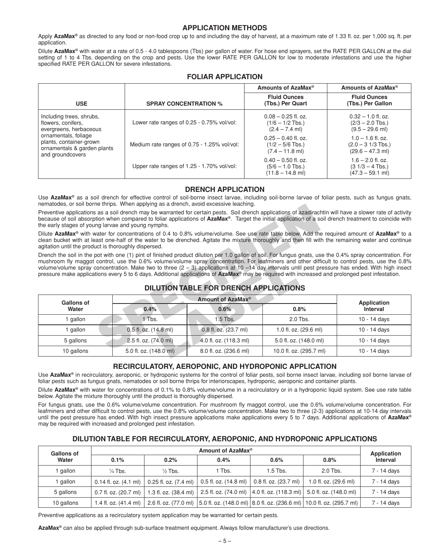## **APPLICATION METHODS**

Apply AzaMax<sup>®</sup> as directed to any food or non-food crop up to and including the day of harvest, at a maximum rate of 1.33 fl. oz. per 1,000 sq. ft. per application.

Dilute **AzaMax®** with water at a rate of 0.5 - 4.0 tablespoons (Tbs) per gallon of water. For hose end sprayers, set the RATE PER GALLON at the dial setting of 1 to 4 Tbs. depending on the crop and pests. Use the lower RATE PER GALLON for low to moderate infestations and use the higher specified RATE PER GALLON for severe infestations.

|                                                                                                                                                                                |                                             | Amounts of AzaMax <sup>®</sup>                                    | Amounts of AzaMax <sup>®</sup>                                                  |
|--------------------------------------------------------------------------------------------------------------------------------------------------------------------------------|---------------------------------------------|-------------------------------------------------------------------|---------------------------------------------------------------------------------|
| <b>USE</b>                                                                                                                                                                     | <b>SPRAY CONCENTRATION %</b>                | <b>Fluid Ounces</b><br>(Tbs.) Per Quart                           | <b>Fluid Ounces</b><br>(Tbs.) Per Gallon                                        |
| Including trees, shrubs,<br>flowers, conifers,<br>evergreens, herbaceous<br>ornamentals, foliage<br>plants, container-grown<br>ornamentals & garden plants<br>and groundcovers | Lower rate ranges of 0.25 - 0.75% vol/vol:  | $0.08 - 0.25$ fl. oz.<br>$(1/6 - 1/2$ Tbs.)<br>$(2.4 - 7.4$ ml)   | $0.32 - 1.0$ fl. oz.<br>$(2/3 - 2.0$ Tbs.)<br>$(9.5 - 29.6$ ml)                 |
|                                                                                                                                                                                | Medium rate ranges of 0.75 - 1.25% vol/vol: | $0.25 - 0.40$ fl. oz.<br>$(1/2 - 5/6$ Tbs.)<br>$(7.4 - 11.8$ ml)  | $1.0 - 1.6$ fl. oz.<br>$(2.0 - 3 \frac{1}{3}$ Tbs.)<br>$(29.6 - 47.3$ ml)       |
|                                                                                                                                                                                | Upper rate ranges of 1.25 - 1.70% vol/vol:  | $0.40 - 0.50$ fl. oz.<br>$(5/6 - 1.0$ Tbs.)<br>$(11.8 - 14.8$ ml) | $1.6 - 2.0$ fl. oz.<br>$(3 \frac{1}{3} - 4 \text{ Tbs.})$<br>$(47.3 - 59.1$ ml) |

## **FOLIAR APPLICATION**

## **DRENCH APPLICATION**

Use **AzaMax<sup>®</sup>** as a soil drench for effective control of soil-borne insect larvae, including soil-borne larvae of foliar pests, such as fungus gnats, nematodes, or soil borne thrips. When applying as a drench, avoid excessive leaching.

## **DILUTION TABLE FOR DRENCH APPLICATIONS**

| because of soil absorption when compared to foliar applications of AzaMax <sup>®</sup> . Target the initial application of a soil drench treatment to coincide with<br>the early stages of young larvae and young nymphs.                                                                                                                                                                                                                                                                                                                                                                                                         |                       |                                               | Preventive applications as a soil drench may be warranted for certain pests. Soil drench applications of azadirachtin will have a slower rate of activity |                                |
|-----------------------------------------------------------------------------------------------------------------------------------------------------------------------------------------------------------------------------------------------------------------------------------------------------------------------------------------------------------------------------------------------------------------------------------------------------------------------------------------------------------------------------------------------------------------------------------------------------------------------------------|-----------------------|-----------------------------------------------|-----------------------------------------------------------------------------------------------------------------------------------------------------------|--------------------------------|
| Dilute AzaMax <sup>®</sup> with water for concentrations of 0.4 to 0.8% volume/volume. See use rate table below. Add the required amount of AzaMax <sup>®</sup> to a<br>clean bucket with at least one-half of the water to be drenched. Agitate the mixture thoroughly and then fill with the remaining water and continue<br>agitation until the product is thoroughly dispersed.                                                                                                                                                                                                                                               |                       |                                               |                                                                                                                                                           |                                |
| Drench the soil in the pot with one (1) pint of finished product dilution per 1.0 gallon of soil. For fungus gnats, use the 0.4% spray concentration. For<br>mushroom fly maggot control, use the 0.6% volume/volume spray concentration. For leafminers and other difficult to control pests, use the 0.8%<br>volume/volume spray concentration. Make two to three $(2 - 3)$ applications at 10 -14 day intervals until pest pressure has ended. With high insect<br>pressure make applications every 5 to 6 days. Additional applications of AzaMax <sup>®</sup> may be required with increased and prolonged pest infestation. |                       | <b>DILUTION TABLE FOR DRENCH APPLICATIONS</b> |                                                                                                                                                           |                                |
| Amount of AzaMax <sup>®</sup>                                                                                                                                                                                                                                                                                                                                                                                                                                                                                                                                                                                                     |                       |                                               |                                                                                                                                                           |                                |
|                                                                                                                                                                                                                                                                                                                                                                                                                                                                                                                                                                                                                                   |                       |                                               |                                                                                                                                                           |                                |
| <b>Gallons of</b><br>Water                                                                                                                                                                                                                                                                                                                                                                                                                                                                                                                                                                                                        | 0.4%                  | 0.6%                                          | 0.8%                                                                                                                                                      | <b>Application</b><br>Interval |
| 1 gallon                                                                                                                                                                                                                                                                                                                                                                                                                                                                                                                                                                                                                          | 1 Tbs.                | 1.5 Tbs.                                      | 2.0 Tbs.                                                                                                                                                  | 10 - 14 days                   |
| 1 gallon                                                                                                                                                                                                                                                                                                                                                                                                                                                                                                                                                                                                                          | 0.5 fl. oz. (14.8 ml) | 0.8 fl. oz. (23.7 ml)                         | 1.0 fl. oz. (29.6 ml)                                                                                                                                     | 10 - 14 days                   |
| 5 gallons                                                                                                                                                                                                                                                                                                                                                                                                                                                                                                                                                                                                                         | 2.5 fl. oz. (74.0 ml) | 4.0 fl. oz. (118.3 ml)                        | 5.0 fl. oz. (148.0 ml)                                                                                                                                    | 10 - 14 days                   |

## **RECIRCULATORY, AEROPONIC, AND HYDROPONIC APPLICATION**

Use AzaMax<sup>®</sup> in recirculatory, aeroponic, or hydroponic systems for the control of foliar pests, soil borne insect larvae, including soil borne larvae of foliar pests such as fungus gnats, nematodes or soil borne thrips for interiorscapes, hydroponic, aeroponic and container plants.

Dilute **AzaMax®** with water for concentrations of 0.1% to 0.8% volume/volume in a recirculatory or in a hydroponic liquid system. See use rate table below. Agitate the mixture thoroughly until the product is thoroughly dispersed.

For fungus gnats, use the 0.6% volume/volume concentration. For mushroom fly maggot control, use the 0.6% volume/volume concentration. For leafminers and other difficult to control pests, use the 0.8% volume/volume concentration. Make two to three (2-3) applications at 10-14 day intervals until the pest pressure has ended. With high insect pressure applications make applications every 5 to 7 days. Additional applications of **AzaMax®** may be required with increased and prolonged pest infestation.

## **DILUTION TABLE FOR RECIRCULATORY, AEROPONIC, AND HYDROPONIC APPLICATIONS**

| <b>Gallons of</b> | Amount of AzaMax <sup>®</sup>   |                                                                                                     |        | <b>Application</b>    |                                                                                                   |                 |
|-------------------|---------------------------------|-----------------------------------------------------------------------------------------------------|--------|-----------------------|---------------------------------------------------------------------------------------------------|-----------------|
| Water             | 0.1%                            | 0.2%                                                                                                | 0.4%   | 0.6%                  | 0.8%                                                                                              | <b>Interval</b> |
| qallon            | $\frac{1}{4}$ Tbs.              | $\frac{1}{2}$ Tbs.                                                                                  | 1 Tbs. | $1.5$ Tbs.            | $2.0$ Tbs.                                                                                        | 7 - 14 days     |
| qallon            |                                 | 0.14 fl. oz. $(4.1 \text{ ml})$   0.25 fl. oz. $(7.4 \text{ ml})$   0.5 fl. oz. $(14.8 \text{ ml})$ |        | 0.8 fl. oz. (23.7 ml) | 1.0 fl. oz. (29.6 ml)                                                                             | 7 - 14 days     |
| 5 gallons         |                                 | 0.7 fl. oz. (20.7 ml)   1.3 fl. oz. (38.4 ml)                                                       |        |                       | 2.5 fl. oz. (74.0 ml)   4.0 fl. oz. (118.3 ml)   5.0 fl. oz. (148.0 ml)                           | 7 - 14 days     |
| 10 gallons        | 1.4 fl. oz. $(41.4 \text{ ml})$ |                                                                                                     |        |                       | 2.6 fl. oz. (77.0 ml)   5.0 fl. oz. (148.0 ml)   8.0 fl. oz. (236.6 ml)   10.0 fl. oz. (295.7 ml) | 7 - 14 days     |

Preventive applications as a recirculatory system application may be warranted for certain pests.

**AzaMax®** can also be applied through sub-surface treatment equipment. Always follow manufacturer's use directions.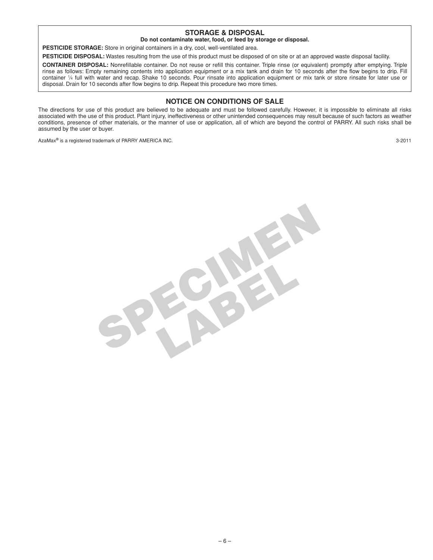## **STORAGE & DISPOSAL**

### **Do not contaminate water, food, or feed by storage or disposal.**

**PESTICIDE STORAGE:** Store in original containers in a dry, cool, well-ventilated area.

**PESTICIDE DISPOSAL:** Wastes resulting from the use of this product must be disposed of on site or at an approved waste disposal facility.

**CONTAINER DISPOSAL:** Nonrefillable container. Do not reuse or refill this container. Triple rinse (or equivalent) promptly after emptying. Triple rinse as follows: Empty remaining contents into application equipment or a mix tank and drain for 10 seconds after the flow begins to drip. Fill container 1/4 full with water and recap. Shake 10 seconds. Pour rinsate into application equipment or mix tank or store rinsate for later use or disposal. Drain for 10 seconds after flow begins to drip. Repeat this procedure two more times.

## **NOTICE ON CONDITIONS OF SALE**

The directions for use of this product are believed to be adequate and must be followed carefully. However, it is impossible to eliminate all risks associated with the use of this product. Plant injury, ineffectiveness or other unintended consequences may result because of such factors as weather conditions, presence of other materials, or the manner of use or application, all of which are beyond the control of PARRY. All such risks shall be assumed by the user or buyer.

AzaMax**®** is a registered trademark of PARRY AMERICA INC. 3-2011

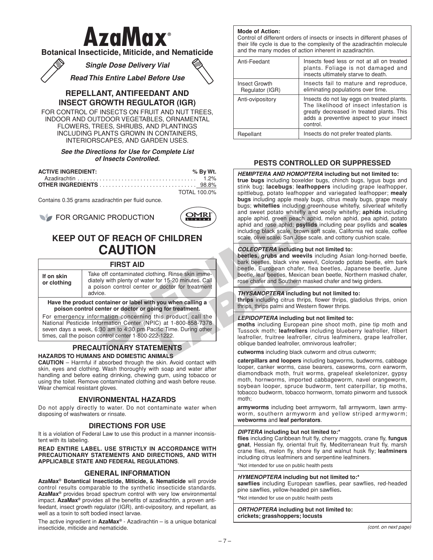# **AzaMax**®

## **Botanical Insecticide, Miticide, and Nematicide**

*Single Dose Delivery Vial*

*Read This Entire Label Before Use*



## **REPELLANT, ANTIFEEDANT AND INSECT GROWTH REGULATOR (IGR)**

FOR CONTROL OF INSECTS ON FRUIT AND NUT TREES, INDOOR AND OUTDOOR VEGETABLES, ORNAMENTAL FLOWERS, TREES, SHRUBS, AND PLANTINGS INCLUDING PLANTS GROWN IN CONTAINERS, INTERIORSCAPES, AND GARDEN USES.

### *See the Directions for Use for Complete List of Insects Controlled.*

| <b>ACTIVE INGREDIENT:</b> | % By Wt.     |
|---------------------------|--------------|
|                           |              |
|                           |              |
|                           | TOTAL 100.0% |

Contains 0.35 grams azadirachtin per fluid ounce.



# **KEEP OUT OF REACH OF CHILDREN CAUTION**

## **FIRST AID**

|                                                                                                                                                                                                                                                            | FOR ORGANIC PRODUCTION<br><b>KEEP OUT OF REACH OF CHILDREN</b>                                                                                              |                                                                      | bugs; whiteflies including green<br>and sweet potato whitefly and<br>apple aphid, green peach aphid<br>aphid and rose aphid; psyllids i<br>including black scale, brown soft<br>scale, olive scale, San Jose scale |  |
|------------------------------------------------------------------------------------------------------------------------------------------------------------------------------------------------------------------------------------------------------------|-------------------------------------------------------------------------------------------------------------------------------------------------------------|----------------------------------------------------------------------|--------------------------------------------------------------------------------------------------------------------------------------------------------------------------------------------------------------------|--|
|                                                                                                                                                                                                                                                            | <b>CAUTION</b>                                                                                                                                              |                                                                      | <b>COLEOPTERA</b> including but no<br>beetles, grubs and weevils ind                                                                                                                                               |  |
|                                                                                                                                                                                                                                                            | <b>FIRST AID</b>                                                                                                                                            |                                                                      | bark beetles, black vine weevil,<br>beetle, European chafer, flea                                                                                                                                                  |  |
| If on skin<br>or clothing                                                                                                                                                                                                                                  | Take off contaminated clothing. Rinse skin imme-<br>diately with plenty of water for 15-20 minutes. Call<br>a poison control center or doctor for treatment | beetle, leaf beetles, Mexican bea<br>rose chafer and Southern masked |                                                                                                                                                                                                                    |  |
|                                                                                                                                                                                                                                                            | advice.                                                                                                                                                     |                                                                      | <b>THYSANOPTERA including but</b>                                                                                                                                                                                  |  |
|                                                                                                                                                                                                                                                            | Have the product container or label with you when calling a<br>poison control center or doctor or going for treatment.                                      |                                                                      | thrips including citrus thrips, flo<br>thrips, thrips palmi and Western f                                                                                                                                          |  |
| For emergency information concerning this product, call the<br>National Pesticide Information Center (NPIC) at 1-800-858-7378<br>seven days a week, 6:30 am to 4:30 pm Pacific Time. During other<br>times, call the poison control center 1-800-222-1222. |                                                                                                                                                             |                                                                      | LEPIDOPTERA including but no<br>moths including European pine<br>Tussock moth: leafrollers inclu<br>leafroller, fruitree leafroller, cit                                                                           |  |
| <b>PRECAUTIONARY STATEMENTS</b><br><b>HAZARDS TO HUMANS AND DOMESTIC ANIMALS</b>                                                                                                                                                                           |                                                                                                                                                             |                                                                      | oblique banded leafroller, omnivo<br>cutworms including black cutwor                                                                                                                                               |  |

# **PRECAUTIONARY STATEMENTS**

**HAZARDS TO HUMANS AND DOMESTIC ANIMALS**

**CAUTION** – Harmful if absorbed through the skin. Avoid contact with skin, eyes and clothing. Wash thoroughly with soap and water after handling and before eating drinking, chewing gum, using tobacco or using the toilet. Remove contaminated clothing and wash before reuse. Wear chemical resistant gloves.

## **ENVIRONMENTAL HAZARDS**

Do not apply directly to water. Do not contaminate water when disposing of washwaters or rinsate.

## **DIRECTIONS FOR USE**

It is a violation of Federal Law to use this product in a manner inconsistent with its labeling.

**READ ENTIRE LABEL. USE STRICTLY IN ACCORDANCE WITH PRECAUTIONARY STATEMENTS AND DIRECTIONS, AND WITH APPLICABLE STATE AND FEDERAL REGULATIONS**.

## **GENERAL INFORMATION**

**AzaMax® Botantical Insecticide, Miticide, & Nematicide** will provide control results comparable to the synthetic insecticide standards. **AzaMax®** provides broad spectrum control with very low environmental impact. **AzaMax®** provides all the benefits of azadirachtin, a proven antifeedant, insect growth regulator (IGR), anti-ovipository, and repellant, as well as a toxin to soft bodied insect larvae.

The active ingredient in **AzaMax®** - Azadirachtin – is a unique botanical insecticide, miticide and nematicide.

**Mode of Action:**

Control of different orders of insects or insects in different phases of their life cycle is due to the complexity of the azadirachtin molecule and the many modes of action inherent in azadirachtin.

| Anti-Feedant                     | Insects feed less or not at all on treated<br>plants. Foliage is not damaged and<br>insects ultimately starve to death.                                                                   |
|----------------------------------|-------------------------------------------------------------------------------------------------------------------------------------------------------------------------------------------|
| Insect Growth<br>Regulator (IGR) | Insects fail to mature and reproduce,<br>eliminating populations over time.                                                                                                               |
| Anti-ovipository                 | Insects do not lay eggs on treated plants.<br>The likelihood of insect infestation is<br>greatly decreased in treated plants. This<br>adds a preventive aspect to your insect<br>control. |
| Repellant                        | Insects do not prefer treated plants.                                                                                                                                                     |

## **PESTS CONTROLLED OR SUPPRESSED**

*HEMIPTERA AND HOMOPTERA* **including but not limited to: true bugs** including boxelder bugs, chinch bugs, lygus bugs and stink bug; **lacebugs**; **leafhoppers** including grape leafhopper, spittlebug, potato leafhopper and variegated leafhopper; **mealy bugs** including apple mealy bugs, citrus mealy bugs, grape mealy bugs; **whiteflies** including greenhouse whitefly, silverleaf whitefly and sweet potato whitefly and woolly whitefly; **aphids** including apple aphid, green peach aphid, melon aphid, pea aphid, potato aphid and rose aphid; **psyllids** including pear psyllids and **scales** including black scale, brown soft scale, California red scale, coffee scale, olive scale, San Jose scale, and cottony cushion scale.

### *COLEOPTERA* **including but not limited to:**

**beetles, grubs and weevils** including Asian long-horned beetle, bark beetles, black vine weevil, Colorado potato beetle, elm bark beetle, European chafer, flea beetles, Japanese beetle, June beetle, leaf beetles, Mexican bean beetle, Northern masked chafer, rose chafer and Southern masked chafer and twig girders.

### *THYSANOPTERA* **including but not limited to:**

**thrips** including citrus thrips, flower thrips, gladiolus thrips, onion thrips, thrips palmi and Western flower thrips.

### *LEPIDOPTERA* **including but not limited to:**

**moths** including European pine shoot moth, pine tip moth and Tussock moth; **leafrollers** including blueberry leafroller, filbert leafroller, fruitree leafroller, citrus leafminers, grape leafroller, oblique banded leafroller, omnivorous leafroller;

**cutworms** including black cutworm and citrus cutworm;

**caterpillars and loopers** including bagworms, budworms, cabbage looper, canker worms, case bearers, caseworms, corn earworm, diamondback moth, fruit worms, grapeleaf skeletonizer, gypsy moth, hornworms, imported cabbageworm, navel orangeworm, soybean looper, spruce budworm, tent caterpillar, tip moths, tobacco budworm, tobacco hornworm, tomato pinworm and tussock moth;

**armyworms** including beet armyworm, fall armyworm, lawn armyworm, southern armyworm and yellow striped armyworm; **webworms** and **leaf perforators**.

### *DIPTERA* **including but not limited to:\***

**flies** including Caribbean fruit fly, cherry maggots, crane fly, **fungus gnat**, Hessian fly, oriental fruit fly, Mediterranean fruit fly, marsh crane flies, melon fly, shore fly and walnut husk fly; **leafminers** including citrus leafminers and serpentine leafminers.

\*Not intended for use on public health pests

### *HYMENOPTERA* **including but not limited to:\***

**sawflies** including European sawflies, pear sawflies, red-headed pine sawflies, yellow-headed pin sawflies**.**

**\***Not intended for use on public health pests

*ORTHOPTERA* **including but not limited to: crickets; grasshoppers; locusts**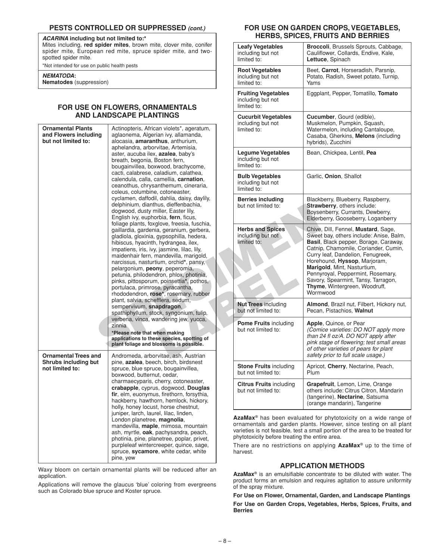## **PESTS CONTROLLED OR SUPPRESSED** *(cont.)*

### *ACARINA* **including but not limited to:\***

Mites including, **red spider mites**, brown mite, clover mite, conifer spider mite, European red mite, spruce spider mite, and twospotted spider mite.

\*Not intended for use on public health pests

#### *NEMATODA***:**

**Nematodes** (suppression)

## **FOR USE ON FLOWERS, ORNAMENTALS AND LANDSCAPE PLANTINGS**

| <b>Ornamental Plants</b><br>Actinopteris, African violets*, ageratum,<br>and Flowers including<br>aglaonema, Algerian ivy, allamanda,<br>but not limited to:<br>alocasia, <b>amaranthus</b> , anthurium,<br>aphelandra, arborvitae, Artemisia,<br>aster, aucuba ilex, <b>azalea</b> , baby's<br>breath, begonia, Boston fern,<br>bougainvillea, boxwood, brachycome,<br>cacti, calabrese, caladium, calathea,<br>calendula, calla, camellia, carnation,<br>ceanothus, chrysanthemum, cineraria,<br>coleus, columbine, cotoneaster,<br>cyclamen, daffodil, dahlia, daisy, daylily,<br>delphinium, dianthus, dieffenbachia,<br>dogwood, dusty miller, Easter lily,<br>English ivy, euphorbia, fern, ficus,<br>foliage plants, foxglove, freesia, fuschia,<br>gaillardia, gardenia, geranium, gerbera,<br>gladiola, gloxinia, gypsophilla, hedera,<br>hibiscus, hyacinth, hydrangea, ilex,<br>impatiens, iris, ivy, jasmine, lilac, lily,<br>maidenhair fern, mandevilla, marigold,<br>narcissus, nasturtium, orchid*, pansy,<br>pelargonium, peony, peperomia,<br>petunia, philodendron, phlox, photinia,<br>pinks, pittosporum, poinsettia*, pothos,<br>portulaca, primrose, pyracantha,<br>rhododendron, rose*, rosemary, rubber<br>plant, salvia, schefflera, sedum,<br>sempervivum, snapdragon,<br>spathiphyllum, stock, syngonium, tulip,<br>verbena, vinca, wandering jew, yucca,<br>zinnia<br>*Please note that when making<br>applications to these species, spotting of<br>plant foliage and blossoms is possible.<br><b>Ornamental Trees and</b><br>Andromeda, arborvitae, ash, Austrian<br>Shrubs including but<br>pine, azalea, beech, birch, birdsnest<br>not limited to:<br>spruce, blue spruce, bougainvillea,<br>boxwood, butternut, cedar,<br>charmaecyparis, cherry, cotoneaster,<br>crabapple, cyprus, dogwood, Douglas<br>fir, elm, euonymus, firethorn, forsythia,<br>hackberry, hawthorn, hemlock, hickory,<br>holly, honey locust, horse chestnut,<br>juniper, larch, laurel, lilac, linden,<br>London planetree, magnolia,<br>mandevilla, maple, mimosa, mountain<br>ash, myrtle, oak, pachysandra, peach,<br>photinia, pine, planetree, poplar, privet,<br>purpleleaf wintercreeper, quince, sage,<br>spruce, sycamore, white cedar, white<br>pine, yew |  |                                                     | moluumy but not<br>limited to:<br>Legume Vegetables<br>including but not                                                                                                                                       | muən<br>Water<br>Casal<br>hybric<br>Bean                                                            |
|--------------------------------------------------------------------------------------------------------------------------------------------------------------------------------------------------------------------------------------------------------------------------------------------------------------------------------------------------------------------------------------------------------------------------------------------------------------------------------------------------------------------------------------------------------------------------------------------------------------------------------------------------------------------------------------------------------------------------------------------------------------------------------------------------------------------------------------------------------------------------------------------------------------------------------------------------------------------------------------------------------------------------------------------------------------------------------------------------------------------------------------------------------------------------------------------------------------------------------------------------------------------------------------------------------------------------------------------------------------------------------------------------------------------------------------------------------------------------------------------------------------------------------------------------------------------------------------------------------------------------------------------------------------------------------------------------------------------------------------------------------------------------------------------------------------------------------------------------------------------------------------------------------------------------------------------------------------------------------------------------------------------------------------------------------------------------------------------------------------------------------------------------------------------------------------------------------------------------------------------------------------------------------|--|-----------------------------------------------------|----------------------------------------------------------------------------------------------------------------------------------------------------------------------------------------------------------------|-----------------------------------------------------------------------------------------------------|
|                                                                                                                                                                                                                                                                                                                                                                                                                                                                                                                                                                                                                                                                                                                                                                                                                                                                                                                                                                                                                                                                                                                                                                                                                                                                                                                                                                                                                                                                                                                                                                                                                                                                                                                                                                                                                                                                                                                                                                                                                                                                                                                                                                                                                                                                                |  |                                                     | limited to:<br><b>Bulb Vegetables</b><br>including but not<br>limited to:                                                                                                                                      | Garlic                                                                                              |
|                                                                                                                                                                                                                                                                                                                                                                                                                                                                                                                                                                                                                                                                                                                                                                                                                                                                                                                                                                                                                                                                                                                                                                                                                                                                                                                                                                                                                                                                                                                                                                                                                                                                                                                                                                                                                                                                                                                                                                                                                                                                                                                                                                                                                                                                                |  | <b>Berries including</b><br>but not limited to:     | <b>Black</b><br><b>Straw</b><br><b>Boyse</b><br>Elder                                                                                                                                                          |                                                                                                     |
|                                                                                                                                                                                                                                                                                                                                                                                                                                                                                                                                                                                                                                                                                                                                                                                                                                                                                                                                                                                                                                                                                                                                                                                                                                                                                                                                                                                                                                                                                                                                                                                                                                                                                                                                                                                                                                                                                                                                                                                                                                                                                                                                                                                                                                                                                |  |                                                     | <b>Herbs and Spices</b><br>including but not<br>limited to:                                                                                                                                                    | Chive<br>Swee<br><b>Basil</b><br>Catni<br>Curry<br>Horeh<br>Marig<br>Penny<br>Savor<br>Thym<br>Worm |
|                                                                                                                                                                                                                                                                                                                                                                                                                                                                                                                                                                                                                                                                                                                                                                                                                                                                                                                                                                                                                                                                                                                                                                                                                                                                                                                                                                                                                                                                                                                                                                                                                                                                                                                                                                                                                                                                                                                                                                                                                                                                                                                                                                                                                                                                                |  | <b>Nut Trees including</b><br>but not limited to:   | Almo<br>Pecar                                                                                                                                                                                                  |                                                                                                     |
|                                                                                                                                                                                                                                                                                                                                                                                                                                                                                                                                                                                                                                                                                                                                                                                                                                                                                                                                                                                                                                                                                                                                                                                                                                                                                                                                                                                                                                                                                                                                                                                                                                                                                                                                                                                                                                                                                                                                                                                                                                                                                                                                                                                                                                                                                |  | <b>Pome Fruits including</b><br>but not limited to: | Apple<br>(Com<br>than :<br>pink s<br>of oth<br>safety                                                                                                                                                          |                                                                                                     |
|                                                                                                                                                                                                                                                                                                                                                                                                                                                                                                                                                                                                                                                                                                                                                                                                                                                                                                                                                                                                                                                                                                                                                                                                                                                                                                                                                                                                                                                                                                                                                                                                                                                                                                                                                                                                                                                                                                                                                                                                                                                                                                                                                                                                                                                                                |  |                                                     | <b>Stone Fruits including</b><br>but not limited to:                                                                                                                                                           | Aprice<br>Plum                                                                                      |
|                                                                                                                                                                                                                                                                                                                                                                                                                                                                                                                                                                                                                                                                                                                                                                                                                                                                                                                                                                                                                                                                                                                                                                                                                                                                                                                                                                                                                                                                                                                                                                                                                                                                                                                                                                                                                                                                                                                                                                                                                                                                                                                                                                                                                                                                                |  |                                                     | <b>Citrus Fruits including</b><br>but not limited to:                                                                                                                                                          | Grap<br>others<br>(tange<br>(oran                                                                   |
|                                                                                                                                                                                                                                                                                                                                                                                                                                                                                                                                                                                                                                                                                                                                                                                                                                                                                                                                                                                                                                                                                                                                                                                                                                                                                                                                                                                                                                                                                                                                                                                                                                                                                                                                                                                                                                                                                                                                                                                                                                                                                                                                                                                                                                                                                |  |                                                     | AzaMax <sup>®</sup> has been evaluated fo<br>ornamentals and garden plants.<br>varieties is not feasible, test a smal<br>phytotoxicity before treating the ent<br>There are no restrictions on app<br>harvest. |                                                                                                     |

Waxy bloom on certain ornamental plants will be reduced after an application.

Applications will remove the glaucus 'blue' coloring from evergreens such as Colorado blue spruce and Koster spruce.

## **FOR USE ON GARDEN CROPS,VEGETABLES, HERBS, SPICES, FRUITS AND BERRIES**

| te, clover mite, conifer<br>pider mite, and two-                                                                                                                                                                                                                                                                                                                                                                                                                                                                                                                                                                                                                                                                                                                                                                                                                                                                                                                                                                            |  | <b>Leafy Vegetables</b><br>including but not<br>limited to:    | Broccoli, Brussels Sprouts, Cabbage,<br>Cauliflower, Collards, Endive, Kale,<br>Lettuce, Spinach                                                                                                                                                                                                                                                                                             |
|-----------------------------------------------------------------------------------------------------------------------------------------------------------------------------------------------------------------------------------------------------------------------------------------------------------------------------------------------------------------------------------------------------------------------------------------------------------------------------------------------------------------------------------------------------------------------------------------------------------------------------------------------------------------------------------------------------------------------------------------------------------------------------------------------------------------------------------------------------------------------------------------------------------------------------------------------------------------------------------------------------------------------------|--|----------------------------------------------------------------|----------------------------------------------------------------------------------------------------------------------------------------------------------------------------------------------------------------------------------------------------------------------------------------------------------------------------------------------------------------------------------------------|
|                                                                                                                                                                                                                                                                                                                                                                                                                                                                                                                                                                                                                                                                                                                                                                                                                                                                                                                                                                                                                             |  | <b>Root Vegetables</b><br>including but not<br>limited to:     | Beet, Carrot, Horseradish, Parsnip,<br>Potato, Radish, Sweet potato, Turnip,<br>Yams                                                                                                                                                                                                                                                                                                         |
| <b>IAMENTALS</b><br><b>ITINGS</b><br>an violets*, ageratum,<br>ian ivy, allamanda,<br>thus, anthurium,<br>vitae, Artemisia,<br>, azalea, baby's<br>Boston fern,<br>wood, brachycome,<br>aladium, calathea,<br>amellia, carnation,<br>anthemum, cineraria,<br>, cotoneaster,<br>l, dahlia, daisy, daylily,<br>nus, dieffenbachia,<br>iller, Easter lily,<br>orbia, fern, ficus,<br>glove, freesia, fuschia,<br>a, geranium, gerbera,<br>gypsophilla, hedera,<br>, hydrangea, ilex,<br>, jasmine, lilac, lily,<br>nandevilla, marigold,<br>ium, orchid*, pansy,<br>ny, peperomia,<br>dron, phlox, photinia,<br>n, poinsettia*, pothos,<br>se, pyracantha,<br>se*, rosemary, rubber<br>fflera, sedum,<br>apdragon,<br>ck, syngonium, tulip,<br>andering jew, yucca,<br>hen making<br>se species, spotting of<br>lossoms is possible.<br>rvitae, ash, Austrian<br>ch, birch, birdsnest<br>ce, bougainvillea,<br>ut, cedar,<br>cherry, cotoneaster,<br>s, dogwood, Douglas<br>s, firethorn, forsythia,<br>orn, hemlock, hickory, |  | <b>Fruiting Vegetables</b><br>including but not<br>limited to: | Eggplant, Pepper, Tomatillo, Tomato                                                                                                                                                                                                                                                                                                                                                          |
|                                                                                                                                                                                                                                                                                                                                                                                                                                                                                                                                                                                                                                                                                                                                                                                                                                                                                                                                                                                                                             |  | <b>Cucurbit Vegetables</b><br>including but not<br>limited to: | Cucumber, Gourd (edible),<br>Muskmelon, Pumpkin, Squash,<br>Watermelon, including Cantaloupe,<br>Casaba, Gherkins, Melons (including<br>hybrids), Zucchini                                                                                                                                                                                                                                   |
|                                                                                                                                                                                                                                                                                                                                                                                                                                                                                                                                                                                                                                                                                                                                                                                                                                                                                                                                                                                                                             |  | <b>Legume Vegetables</b><br>including but not<br>limited to:   | Bean, Chickpea, Lentil, Pea                                                                                                                                                                                                                                                                                                                                                                  |
|                                                                                                                                                                                                                                                                                                                                                                                                                                                                                                                                                                                                                                                                                                                                                                                                                                                                                                                                                                                                                             |  | <b>Bulb Vegetables</b><br>including but not<br>limited to:     | Garlic, Onion, Shallot                                                                                                                                                                                                                                                                                                                                                                       |
|                                                                                                                                                                                                                                                                                                                                                                                                                                                                                                                                                                                                                                                                                                                                                                                                                                                                                                                                                                                                                             |  | <b>Berries including</b><br>but not limited to:                | Blackberry, Blueberry, Raspberry,<br><b>Strawberry, others include:</b><br>Boysenberry, Currants, Dewberry,<br>Elderberry, Gooseberry, Loganberry                                                                                                                                                                                                                                            |
|                                                                                                                                                                                                                                                                                                                                                                                                                                                                                                                                                                                                                                                                                                                                                                                                                                                                                                                                                                                                                             |  | <b>Herbs and Spices</b><br>including but not<br>limited to:    | Chive, Dill, Fennel, Mustard, Sage,<br>Sweet bay, others include: Anise, Balm,<br>Basil, Black pepper, Borage, Caraway,<br>Catnip, Chamomile, Coriander, Cumin,<br>Curry leaf, Dandelion, Fenugreek,<br>Horehound, Hyssop, Marjoram,<br>Marigold, Mint, Nasturtium,<br>Pennyroyal, Peppermint, Rosemary,<br>Savory, Spearmint, Tansy, Tarragon,<br>Thyme, Wintergreen, Woodruff,<br>Wormwood |
|                                                                                                                                                                                                                                                                                                                                                                                                                                                                                                                                                                                                                                                                                                                                                                                                                                                                                                                                                                                                                             |  | <b>Nut Trees including</b><br>but not limited to:              | Almond, Brazil nut, Filbert, Hickory nut,<br>Pecan, Pistachios, Walnut                                                                                                                                                                                                                                                                                                                       |
|                                                                                                                                                                                                                                                                                                                                                                                                                                                                                                                                                                                                                                                                                                                                                                                                                                                                                                                                                                                                                             |  | <b>Pome Fruits including</b><br>but not limited to:            | Apple, Quince, or Pear<br>(Comice varieties: DO NOT apply more<br>than 24 fl oz/A. DO NOT apply after<br>pink stage of flowering; test small areas<br>of other varieties of pears for plant<br>safety prior to full scale usage.)                                                                                                                                                            |
|                                                                                                                                                                                                                                                                                                                                                                                                                                                                                                                                                                                                                                                                                                                                                                                                                                                                                                                                                                                                                             |  | <b>Stone Fruits including</b><br>but not limited to:           | Apricot, Cherry, Nectarine, Peach,<br>Plum                                                                                                                                                                                                                                                                                                                                                   |
|                                                                                                                                                                                                                                                                                                                                                                                                                                                                                                                                                                                                                                                                                                                                                                                                                                                                                                                                                                                                                             |  | <b>Citrus Fruits including</b><br>but not limited to:          | Grapefruit, Lemon, Lime, Orange<br>others include: Citrus Citron, Mandarin<br>(tangerine), Nectarine, Satsuma<br>(orange mandarin), Tangerine                                                                                                                                                                                                                                                |

**AzaMax®** has been evaluated for phytotoxicity on a wide range of ornamentals and garden plants. However, since testing on all plant varieties is not feasible, test a small portion of the area to be treated for phytotoxicity before treating the entire area.

There are no restrictions on applying **AzaMax®** up to the time of harvest.

## **APPLICATION METHODS**

**AzaMax®** is an emulsifiable concentrate to be diluted with water. The product forms an emulsion and requires agitation to assure uniformity of the spray mixture.

**For Use on Flower, Ornamental, Garden, and Landscape Plantings For Use on Garden Crops, Vegetables, Herbs, Spices, Fruits, and Berries**